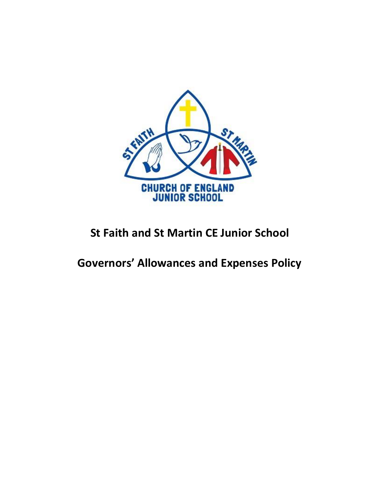

# **St Faith and St Martin CE Junior School**

## **Governors' Allowances and Expenses Policy**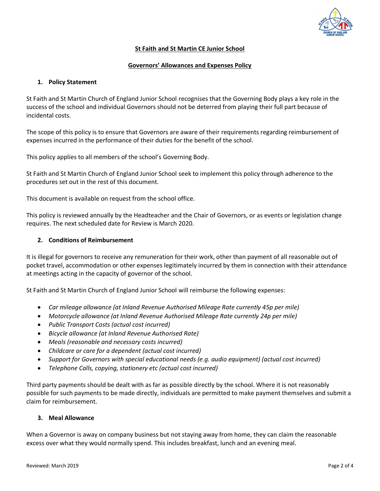

## **St Faith and St Martin CE Junior School**

## **Governors' Allowances and Expenses Policy**

## **1. Policy Statement**

St Faith and St Martin Church of England Junior School recognises that the Governing Body plays a key role in the success of the school and individual Governors should not be deterred from playing their full part because of incidental costs.

The scope of this policy is to ensure that Governors are aware of their requirements regarding reimbursement of expenses incurred in the performance of their duties for the benefit of the school.

This policy applies to all members of the school's Governing Body.

St Faith and St Martin Church of England Junior School seek to implement this policy through adherence to the procedures set out in the rest of this document.

This document is available on request from the school office.

This policy is reviewed annually by the Headteacher and the Chair of Governors, or as events or legislation change requires. The next scheduled date for Review is March 2020.

## **2. Conditions of Reimbursement**

It is illegal for governors to receive any remuneration for their work, other than payment of all reasonable out of pocket travel, accommodation or other expenses legitimately incurred by them in connection with their attendance at meetings acting in the capacity of governor of the school.

St Faith and St Martin Church of England Junior School will reimburse the following expenses:

- *Car mileage allowance (at Inland Revenue Authorised Mileage Rate currently 45p per mile)*
- *Motorcycle allowance (at Inland Revenue Authorised Mileage Rate currently 24p per mile)*
- *Public Transport Costs (actual cost incurred)*
- *Bicycle allowance (at Inland Revenue Authorised Rate)*
- *Meals (reasonable and necessary costs incurred)*
- *Childcare or care for a dependent (actual cost incurred)*
- *Support for Governors with special educational needs (e.g. audio equipment) (actual cost incurred)*
- *Telephone Calls, copying, stationery etc (actual cost incurred)*

Third party payments should be dealt with as far as possible directly by the school. Where it is not reasonably possible for such payments to be made directly, individuals are permitted to make payment themselves and submit a claim for reimbursement.

#### **3. Meal Allowance**

When a Governor is away on company business but not staying away from home, they can claim the reasonable excess over what they would normally spend. This includes breakfast, lunch and an evening meal.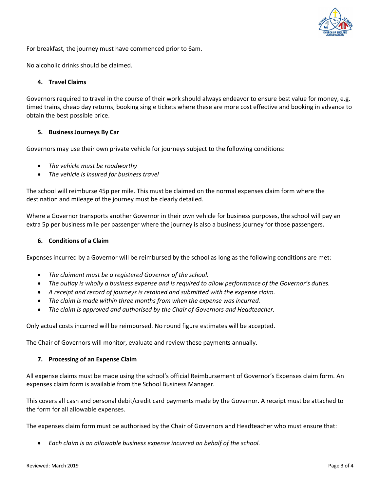

For breakfast, the journey must have commenced prior to 6am.

No alcoholic drinks should be claimed.

## **4. Travel Claims**

Governors required to travel in the course of their work should always endeavor to ensure best value for money, e.g. timed trains, cheap day returns, booking single tickets where these are more cost effective and booking in advance to obtain the best possible price.

#### **5. Business Journeys By Car**

Governors may use their own private vehicle for journeys subject to the following conditions:

- *The vehicle must be roadworthy*
- *The vehicle is insured for business travel*

The school will reimburse 45p per mile. This must be claimed on the normal expenses claim form where the destination and mileage of the journey must be clearly detailed.

Where a Governor transports another Governor in their own vehicle for business purposes, the school will pay an extra 5p per business mile per passenger where the journey is also a business journey for those passengers.

#### **6. Conditions of a Claim**

Expenses incurred by a Governor will be reimbursed by the school as long as the following conditions are met:

- *The claimant must be a registered Governor of the school.*
- *The outlay is wholly a business expense and is required to allow performance of the Governor's duties.*
- *A receipt and record of journeys is retained and submitted with the expense claim.*
- *The claim is made within three months from when the expense was incurred.*
- *The claim is approved and authorised by the Chair of Governors and Headteacher.*

Only actual costs incurred will be reimbursed. No round figure estimates will be accepted.

The Chair of Governors will monitor, evaluate and review these payments annually.

## **7. Processing of an Expense Claim**

All expense claims must be made using the school's official Reimbursement of Governor's Expenses claim form. An expenses claim form is available from the School Business Manager.

This covers all cash and personal debit/credit card payments made by the Governor. A receipt must be attached to the form for all allowable expenses.

The expenses claim form must be authorised by the Chair of Governors and Headteacher who must ensure that:

*Each claim is an allowable business expense incurred on behalf of the school.*